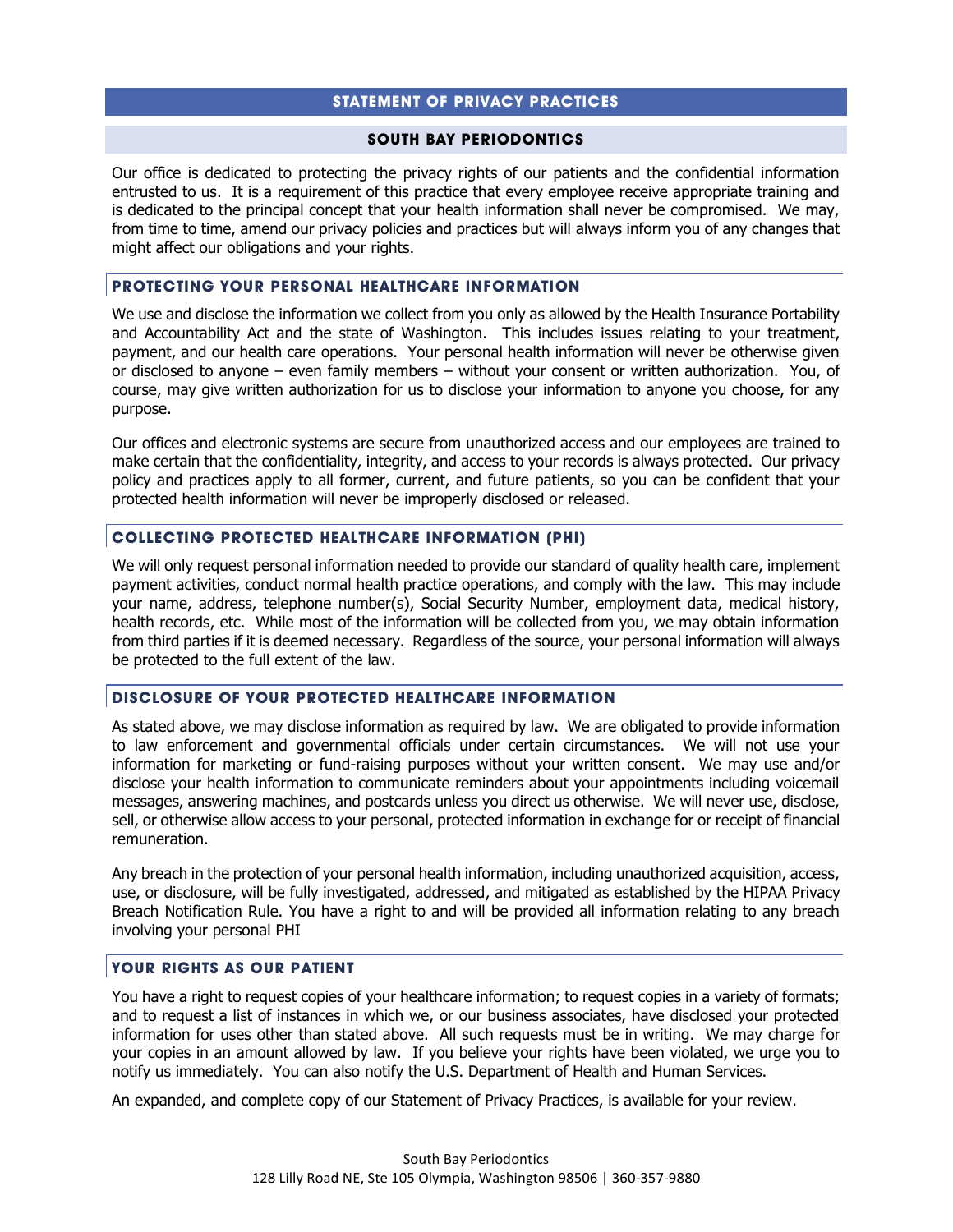# **STATEMENT OF PRIVACY PRACTICES**

#### **SOUTH BAY PERIODONTICS**

Our office is dedicated to protecting the privacy rights of our patients and the confidential information entrusted to us. It is a requirement of this practice that every employee receive appropriate training and is dedicated to the principal concept that your health information shall never be compromised. We may, from time to time, amend our privacy policies and practices but will always inform you of any changes that might affect our obligations and your rights.

### **PROTECTING YOUR PERSONAL HEALTHCARE INFORMATION**

We use and disclose the information we collect from you only as allowed by the Health Insurance Portability and Accountability Act and the state of Washington. This includes issues relating to your treatment, payment, and our health care operations. Your personal health information will never be otherwise given or disclosed to anyone – even family members – without your consent or written authorization. You, of course, may give written authorization for us to disclose your information to anyone you choose, for any purpose.

Our offices and electronic systems are secure from unauthorized access and our employees are trained to make certain that the confidentiality, integrity, and access to your records is always protected. Our privacy policy and practices apply to all former, current, and future patients, so you can be confident that your protected health information will never be improperly disclosed or released.

### **COLLECTING PROTECTED HEALTHCARE INFORMATION (PHI)**

We will only request personal information needed to provide our standard of quality health care, implement payment activities, conduct normal health practice operations, and comply with the law. This may include your name, address, telephone number(s), Social Security Number, employment data, medical history, health records, etc. While most of the information will be collected from you, we may obtain information from third parties if it is deemed necessary. Regardless of the source, your personal information will always be protected to the full extent of the law.

# **DISCLOSURE OF YOUR PROTECTED HEALTHCARE INFORMATION**

As stated above, we may disclose information as required by law. We are obligated to provide information to law enforcement and governmental officials under certain circumstances. We will not use your information for marketing or fund-raising purposes without your written consent. We may use and/or disclose your health information to communicate reminders about your appointments including voicemail messages, answering machines, and postcards unless you direct us otherwise. We will never use, disclose, sell, or otherwise allow access to your personal, protected information in exchange for or receipt of financial remuneration.

Any breach in the protection of your personal health information, including unauthorized acquisition, access, use, or disclosure, will be fully investigated, addressed, and mitigated as established by the HIPAA Privacy Breach Notification Rule. You have a right to and will be provided all information relating to any breach involving your personal PHI

# **YOUR RIGHTS AS OUR PATIENT**

You have a right to request copies of your healthcare information; to request copies in a variety of formats; and to request a list of instances in which we, or our business associates, have disclosed your protected information for uses other than stated above. All such requests must be in writing. We may charge for your copies in an amount allowed by law. If you believe your rights have been violated, we urge you to notify us immediately. You can also notify the U.S. Department of Health and Human Services.

An expanded, and complete copy of our Statement of Privacy Practices, is available for your review.